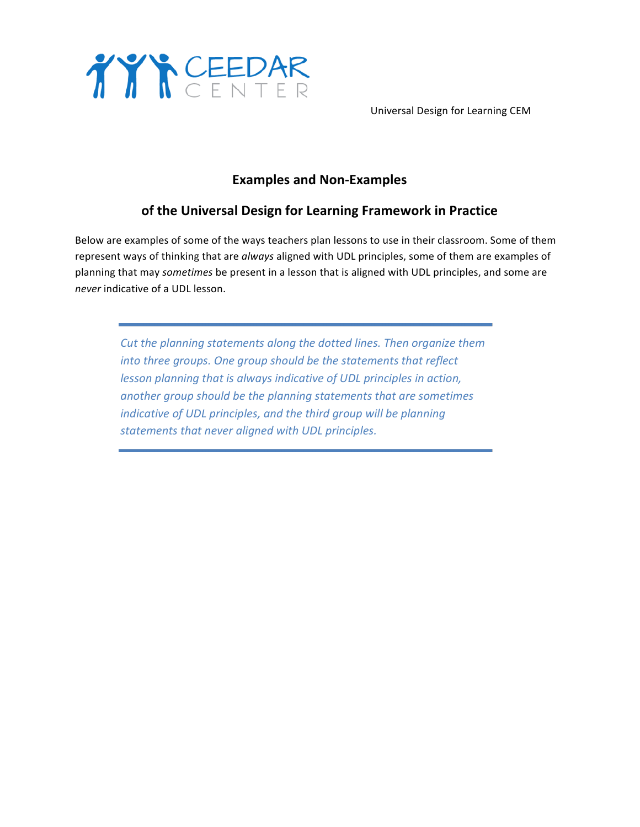

 Universal Design for Learning CEM

## **Examples and Non-Examples**

## **of the Universal Design for Learning Framework in Practice**

Below are examples of some of the ways teachers plan lessons to use in their classroom. Some of them represent ways of thinking that are always aligned with UDL principles, some of them are examples of planning that may *sometimes* be present in a lesson that is aligned with UDL principles, and some are *never* indicative of a UDL lesson.

Cut the planning statements along the dotted lines. Then organize them *into three groups. One group should be the statements that reflect lesson planning that is always indicative of UDL principles in action,* another group should be the planning statements that are sometimes *indicative of UDL principles, and the third group will be planning* statements that never aligned with UDL principles.